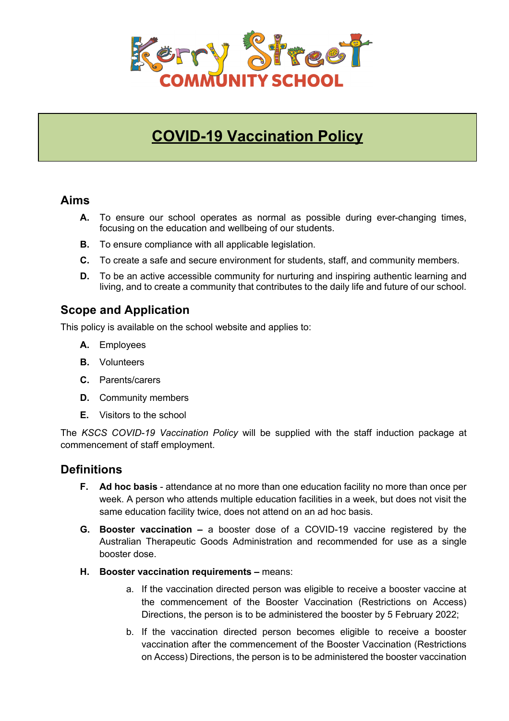

# **COVID-19 Vaccination Policy**

### **Aims**

- **A.** To ensure our school operates as normal as possible during ever-changing times, focusing on the education and wellbeing of our students.
- **B.** To ensure compliance with all applicable legislation.
- **C.** To create a safe and secure environment for students, staff, and community members.
- **D.** To be an active accessible community for nurturing and inspiring authentic learning and living, and to create a community that contributes to the daily life and future of our school.

# **Scope and Application**

This policy is available on the school website and applies to:

- **A.** Employees
- **B.** Volunteers
- **C.** Parents/carers
- **D.** Community members
- **E.** Visitors to the school

The *KSCS COVID-19 Vaccination Policy* will be supplied with the staff induction package at commencement of staff employment.

# **Definitions**

- **F. Ad hoc basis**  attendance at no more than one education facility no more than once per week. A person who attends multiple education facilities in a week, but does not visit the same education facility twice, does not attend on an ad hoc basis.
- **G. Booster vaccination –** a booster dose of a COVID-19 vaccine registered by the Australian Therapeutic Goods Administration and recommended for use as a single booster dose.
- **H. Booster vaccination requirements –** means:
	- a. If the vaccination directed person was eligible to receive a booster vaccine at the commencement of the Booster Vaccination (Restrictions on Access) Directions, the person is to be administered the booster by 5 February 2022;
	- b. If the vaccination directed person becomes eligible to receive a booster vaccination after the commencement of the Booster Vaccination (Restrictions on Access) Directions, the person is to be administered the booster vaccination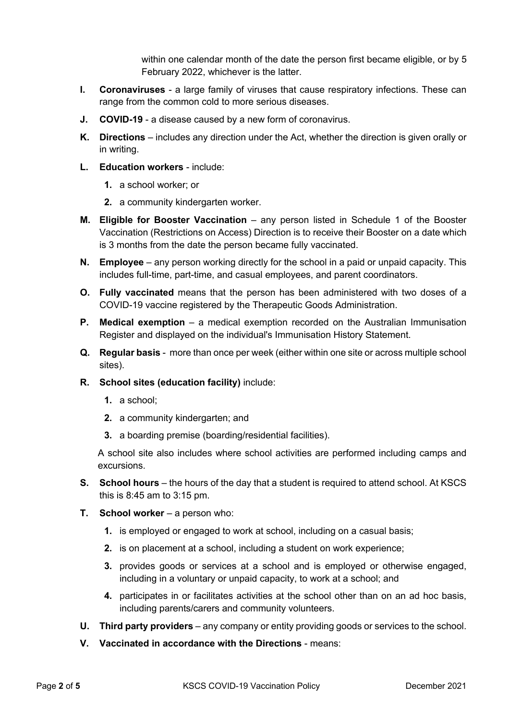within one calendar month of the date the person first became eligible, or by 5 February 2022, whichever is the latter.

- **I. Coronaviruses**  a large family of viruses that cause respiratory infections. These can range from the common cold to more serious diseases.
- **J. COVID-19** a disease caused by a new form of coronavirus.
- **K. Directions**  includes any direction under the Act, whether the direction is given orally or in writing.
- **L. Education workers** include:
	- **1.** a school worker; or
	- **2.** a community kindergarten worker.
- **M.** Eligible for Booster Vaccination any person listed in Schedule 1 of the Booster Vaccination (Restrictions on Access) Direction is to receive their Booster on a date which is 3 months from the date the person became fully vaccinated.
- **N. Employee** any person working directly for the school in a paid or unpaid capacity. This includes full-time, part-time, and casual employees, and parent coordinators.
- **O. Fully vaccinated** means that the person has been administered with two doses of a COVID-19 vaccine registered by the Therapeutic Goods Administration.
- **P. Medical exemption** a medical exemption recorded on the Australian Immunisation Register and displayed on the individual's Immunisation History Statement.
- **Q. Regular basis** more than once per week (either within one site or across multiple school sites).
- **R. School sites (education facility)** include:
	- **1.** a school;
	- **2.** a community kindergarten; and
	- **3.** a boarding premise (boarding/residential facilities).

A school site also includes where school activities are performed including camps and excursions.

- **S.** School hours the hours of the day that a student is required to attend school. At KSCS this is 8:45 am to 3:15 pm.
- **T. School worker** a person who:
	- **1.** is employed or engaged to work at school, including on a casual basis;
	- **2.** is on placement at a school, including a student on work experience;
	- **3.** provides goods or services at a school and is employed or otherwise engaged, including in a voluntary or unpaid capacity, to work at a school; and
	- **4.** participates in or facilitates activities at the school other than on an ad hoc basis, including parents/carers and community volunteers.
- **U. Third party providers** any company or entity providing goods or services to the school.
- **V. Vaccinated in accordance with the Directions** means: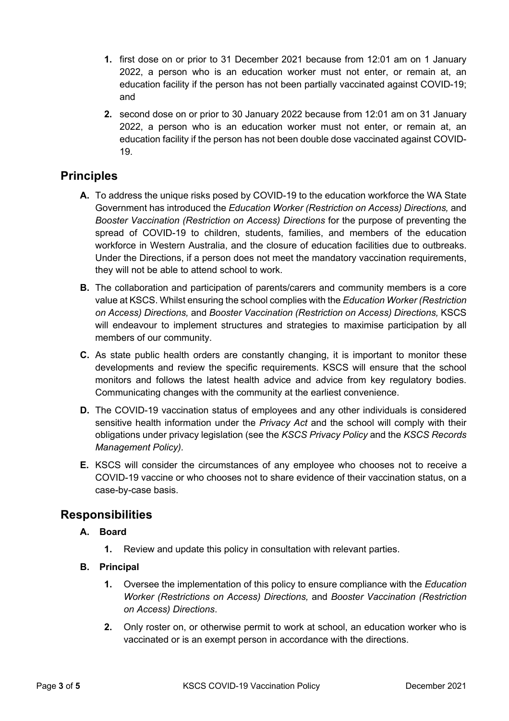- **1.** first dose on or prior to 31 December 2021 because from 12:01 am on 1 January 2022, a person who is an education worker must not enter, or remain at, an education facility if the person has not been partially vaccinated against COVID-19; and
- **2.** second dose on or prior to 30 January 2022 because from 12:01 am on 31 January 2022, a person who is an education worker must not enter, or remain at, an education facility if the person has not been double dose vaccinated against COVID-19.

# **Principles**

- **A.** To address the unique risks posed by COVID-19 to the education workforce the WA State Government has introduced the *Education Worker (Restriction on Access) Directions,* and *Booster Vaccination (Restriction on Access) Directions* for the purpose of preventing the spread of COVID-19 to children, students, families, and members of the education workforce in Western Australia, and the closure of education facilities due to outbreaks. Under the Directions, if a person does not meet the mandatory vaccination requirements, they will not be able to attend school to work.
- **B.** The collaboration and participation of parents/carers and community members is a core value at KSCS. Whilst ensuring the school complies with the *Education Worker (Restriction on Access) Directions,* and *Booster Vaccination (Restriction on Access) Directions,* KSCS will endeavour to implement structures and strategies to maximise participation by all members of our community.
- **C.** As state public health orders are constantly changing, it is important to monitor these developments and review the specific requirements. KSCS will ensure that the school monitors and follows the latest health advice and advice from key regulatory bodies. Communicating changes with the community at the earliest convenience.
- **D.** The COVID-19 vaccination status of employees and any other individuals is considered sensitive health information under the *Privacy Act* and the school will comply with their obligations under privacy legislation (see the *KSCS Privacy Policy* and the *KSCS Records Management Policy).*
- **E.** KSCS will consider the circumstances of any employee who chooses not to receive a COVID-19 vaccine or who chooses not to share evidence of their vaccination status, on a case-by-case basis.

# **Responsibilities**

#### **A. Board**

- **1.** Review and update this policy in consultation with relevant parties.
- **B. Principal**
	- **1.** Oversee the implementation of this policy to ensure compliance with the *Education Worker (Restrictions on Access) Directions,* and *Booster Vaccination (Restriction on Access) Directions*.
	- **2.** Only roster on, or otherwise permit to work at school, an education worker who is vaccinated or is an exempt person in accordance with the directions.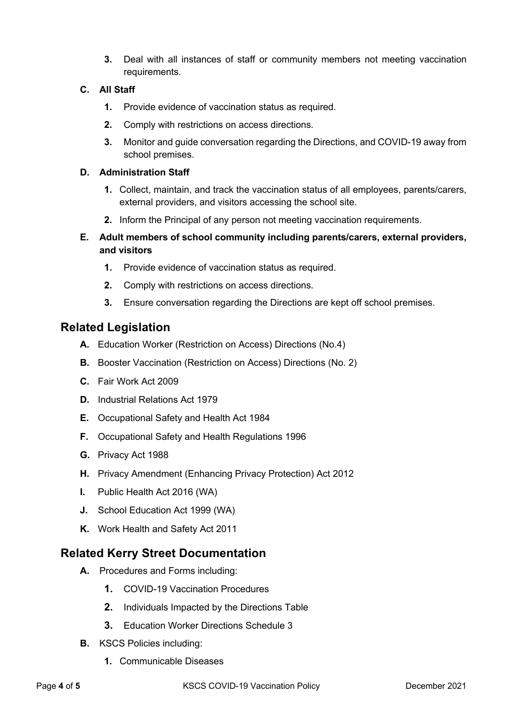**3.** Deal with all instances of staff or community members not meeting vaccination requirements.

#### **C. All Staff**

- **1.** Provide evidence of vaccination status as required.
- **2.** Comply with restrictions on access directions.
- **3.** Monitor and guide conversation regarding the Directions, and COVID-19 away from school premises.

#### **D. Administration Staff**

- **1.** Collect, maintain, and track the vaccination status of all employees, parents/carers, external providers, and visitors accessing the school site.
- **2.** Inform the Principal of any person not meeting vaccination requirements.
- **E. Adult members of school community including parents/carers, external providers, and visitors**
	- **1.** Provide evidence of vaccination status as required.
	- **2.** Comply with restrictions on access directions.
	- **3.** Ensure conversation regarding the Directions are kept off school premises.

### **Related Legislation**

- **A.** Education Worker (Restriction on Access) Directions (No.4)
- **B.** Booster Vaccination (Restriction on Access) Directions (No. 2)
- **C.** Fair Work Act 2009
- **D.** Industrial Relations Act 1979
- **E.** Occupational Safety and Health Act 1984
- **F.** Occupational Safety and Health Regulations 1996
- **G.** Privacy Act 1988
- **H.** Privacy Amendment (Enhancing Privacy Protection) Act 2012
- **I.** Public Health Act 2016 (WA)
- **J.** School Education Act 1999 (WA)
- **K.** Work Health and Safety Act 2011

### **Related Kerry Street Documentation**

- **A.** Procedures and Forms including:
	- **1.** COVID-19 Vaccination Procedures
	- **2.** Individuals Impacted by the Directions Table
	- **3.** Education Worker Directions Schedule 3
- **B.** KSCS Policies including:
	- **1.** Communicable Diseases